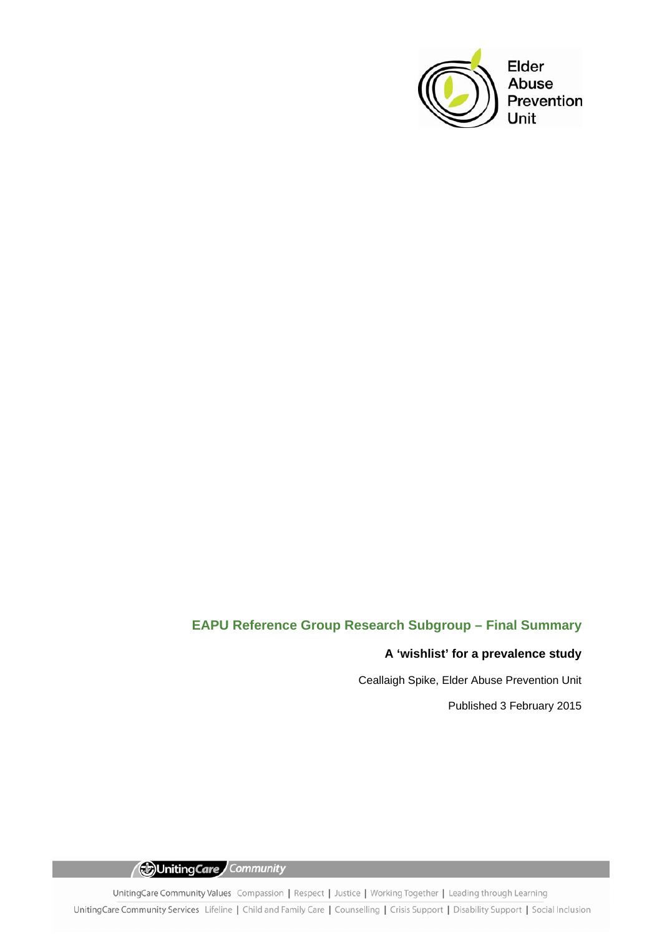

# **EAPU Reference Group Research Subgroup – Final Summary**

# **A 'wishlist' for a prevalence study**

Ceallaigh Spike, Elder Abuse Prevention Unit

Published 3 February 2015

Uniting Care Community

UnitingCare Community Values Compassion | Respect | Justice | Working Together | Leading through Learning UnitingCare Community Services Lifeline | Child and Family Care | Counselling | Crisis Support | Disability Support | Social Inclusion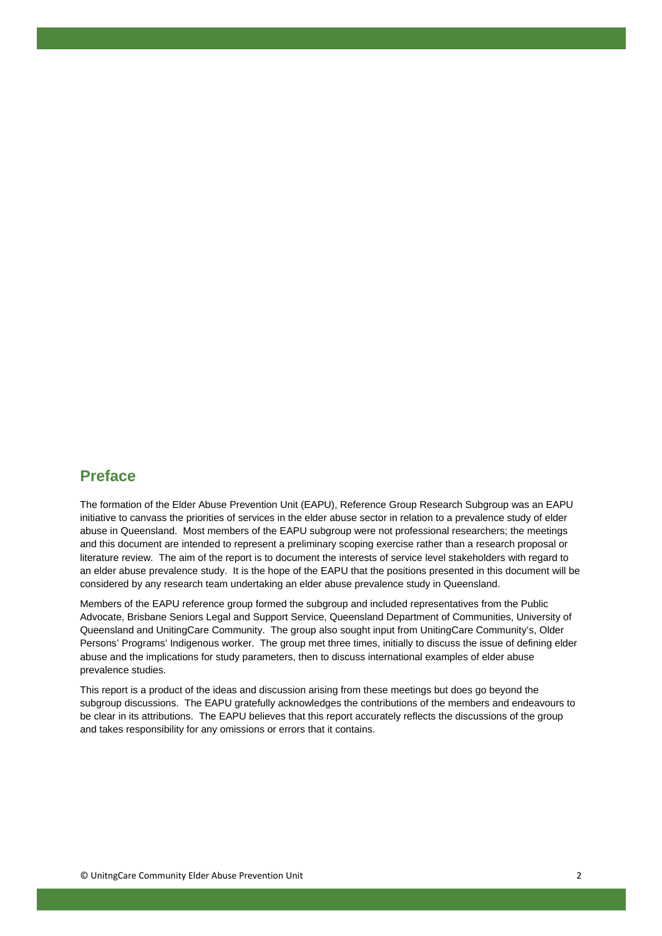# **Preface**

The formation of the Elder Abuse Prevention Unit (EAPU), Reference Group Research Subgroup was an EAPU initiative to canvass the priorities of services in the elder abuse sector in relation to a prevalence study of elder abuse in Queensland. Most members of the EAPU subgroup were not professional researchers; the meetings and this document are intended to represent a preliminary scoping exercise rather than a research proposal or literature review. The aim of the report is to document the interests of service level stakeholders with regard to an elder abuse prevalence study. It is the hope of the EAPU that the positions presented in this document will be considered by any research team undertaking an elder abuse prevalence study in Queensland.

Members of the EAPU reference group formed the subgroup and included representatives from the Public Advocate, Brisbane Seniors Legal and Support Service, Queensland Department of Communities, University of Queensland and UnitingCare Community. The group also sought input from UnitingCare Community's, Older Persons' Programs' Indigenous worker. The group met three times, initially to discuss the issue of defining elder abuse and the implications for study parameters, then to discuss international examples of elder abuse prevalence studies.

This report is a product of the ideas and discussion arising from these meetings but does go beyond the subgroup discussions. The EAPU gratefully acknowledges the contributions of the members and endeavours to be clear in its attributions. The EAPU believes that this report accurately reflects the discussions of the group and takes responsibility for any omissions or errors that it contains.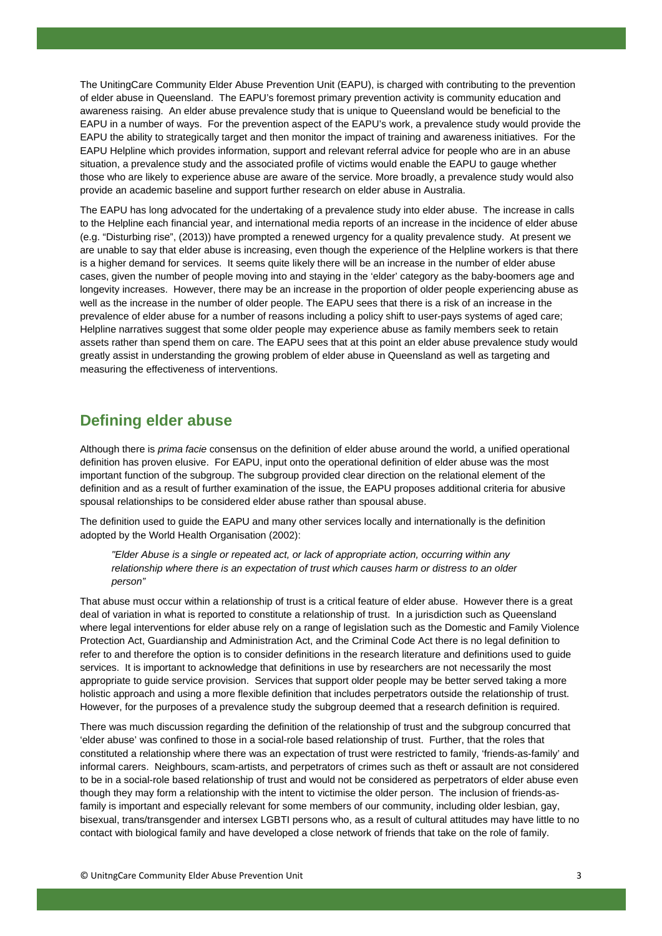The UnitingCare Community Elder Abuse Prevention Unit (EAPU), is charged with contributing to the prevention of elder abuse in Queensland. The EAPU's foremost primary prevention activity is community education and awareness raising. An elder abuse prevalence study that is unique to Queensland would be beneficial to the EAPU in a number of ways. For the prevention aspect of the EAPU's work, a prevalence study would provide the EAPU the ability to strategically target and then monitor the impact of training and awareness initiatives. For the EAPU Helpline which provides information, support and relevant referral advice for people who are in an abuse situation, a prevalence study and the associated profile of victims would enable the EAPU to gauge whether those who are likely to experience abuse are aware of the service. More broadly, a prevalence study would also provide an academic baseline and support further research on elder abuse in Australia.

The EAPU has long advocated for the undertaking of a prevalence study into elder abuse. The increase in calls to the Helpline each financial year, and international media reports of an increase in the incidence of elder abuse (e.g. "Disturbing rise", (2013)) have prompted a renewed urgency for a quality prevalence study. At present we are unable to say that elder abuse is increasing, even though the experience of the Helpline workers is that there is a higher demand for services. It seems quite likely there will be an increase in the number of elder abuse cases, given the number of people moving into and staying in the 'elder' category as the baby-boomers age and longevity increases. However, there may be an increase in the proportion of older people experiencing abuse as well as the increase in the number of older people. The EAPU sees that there is a risk of an increase in the prevalence of elder abuse for a number of reasons including a policy shift to user-pays systems of aged care; Helpline narratives suggest that some older people may experience abuse as family members seek to retain assets rather than spend them on care. The EAPU sees that at this point an elder abuse prevalence study would greatly assist in understanding the growing problem of elder abuse in Queensland as well as targeting and measuring the effectiveness of interventions.

### **Defining elder abuse**

Although there is *prima facie* consensus on the definition of elder abuse around the world, a unified operational definition has proven elusive. For EAPU, input onto the operational definition of elder abuse was the most important function of the subgroup. The subgroup provided clear direction on the relational element of the definition and as a result of further examination of the issue, the EAPU proposes additional criteria for abusive spousal relationships to be considered elder abuse rather than spousal abuse.

The definition used to guide the EAPU and many other services locally and internationally is the definition adopted by the World Health Organisation (2002):

*"Elder Abuse is a single or repeated act, or lack of appropriate action, occurring within any relationship where there is an expectation of trust which causes harm or distress to an older person"* 

That abuse must occur within a relationship of trust is a critical feature of elder abuse. However there is a great deal of variation in what is reported to constitute a relationship of trust. In a jurisdiction such as Queensland where legal interventions for elder abuse rely on a range of legislation such as the Domestic and Family Violence Protection Act, Guardianship and Administration Act, and the Criminal Code Act there is no legal definition to refer to and therefore the option is to consider definitions in the research literature and definitions used to guide services. It is important to acknowledge that definitions in use by researchers are not necessarily the most appropriate to guide service provision. Services that support older people may be better served taking a more holistic approach and using a more flexible definition that includes perpetrators outside the relationship of trust. However, for the purposes of a prevalence study the subgroup deemed that a research definition is required.

There was much discussion regarding the definition of the relationship of trust and the subgroup concurred that 'elder abuse' was confined to those in a social-role based relationship of trust. Further, that the roles that constituted a relationship where there was an expectation of trust were restricted to family, 'friends-as-family' and informal carers. Neighbours, scam-artists, and perpetrators of crimes such as theft or assault are not considered to be in a social-role based relationship of trust and would not be considered as perpetrators of elder abuse even though they may form a relationship with the intent to victimise the older person. The inclusion of friends-asfamily is important and especially relevant for some members of our community, including older lesbian, gay, bisexual, trans/transgender and intersex LGBTI persons who, as a result of cultural attitudes may have little to no contact with biological family and have developed a close network of friends that take on the role of family.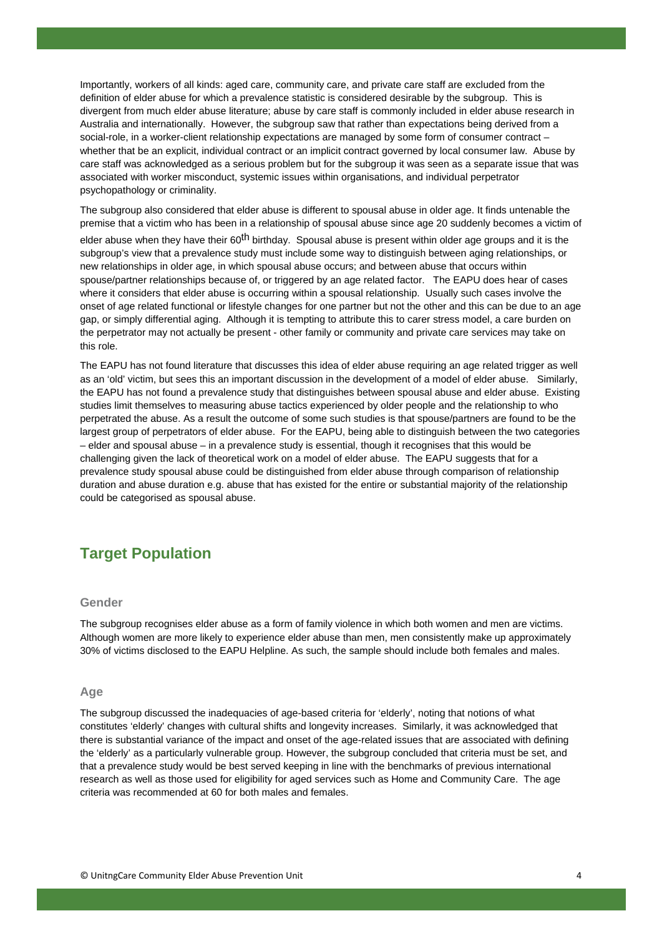Importantly, workers of all kinds: aged care, community care, and private care staff are excluded from the definition of elder abuse for which a prevalence statistic is considered desirable by the subgroup. This is divergent from much elder abuse literature; abuse by care staff is commonly included in elder abuse research in Australia and internationally. However, the subgroup saw that rather than expectations being derived from a social-role, in a worker-client relationship expectations are managed by some form of consumer contract – whether that be an explicit, individual contract or an implicit contract governed by local consumer law. Abuse by care staff was acknowledged as a serious problem but for the subgroup it was seen as a separate issue that was associated with worker misconduct, systemic issues within organisations, and individual perpetrator psychopathology or criminality.

The subgroup also considered that elder abuse is different to spousal abuse in older age. It finds untenable the premise that a victim who has been in a relationship of spousal abuse since age 20 suddenly becomes a victim of

elder abuse when they have their 60<sup>th</sup> birthday. Spousal abuse is present within older age groups and it is the subgroup's view that a prevalence study must include some way to distinguish between aging relationships, or new relationships in older age, in which spousal abuse occurs; and between abuse that occurs within spouse/partner relationships because of, or triggered by an age related factor. The EAPU does hear of cases where it considers that elder abuse is occurring within a spousal relationship. Usually such cases involve the onset of age related functional or lifestyle changes for one partner but not the other and this can be due to an age gap, or simply differential aging. Although it is tempting to attribute this to carer stress model, a care burden on the perpetrator may not actually be present - other family or community and private care services may take on this role.

The EAPU has not found literature that discusses this idea of elder abuse requiring an age related trigger as well as an 'old' victim, but sees this an important discussion in the development of a model of elder abuse. Similarly, the EAPU has not found a prevalence study that distinguishes between spousal abuse and elder abuse. Existing studies limit themselves to measuring abuse tactics experienced by older people and the relationship to who perpetrated the abuse. As a result the outcome of some such studies is that spouse/partners are found to be the largest group of perpetrators of elder abuse. For the EAPU, being able to distinguish between the two categories – elder and spousal abuse – in a prevalence study is essential, though it recognises that this would be challenging given the lack of theoretical work on a model of elder abuse. The EAPU suggests that for a prevalence study spousal abuse could be distinguished from elder abuse through comparison of relationship duration and abuse duration e.g. abuse that has existed for the entire or substantial majority of the relationship could be categorised as spousal abuse.

# **Target Population**

### **Gender**

The subgroup recognises elder abuse as a form of family violence in which both women and men are victims. Although women are more likely to experience elder abuse than men, men consistently make up approximately 30% of victims disclosed to the EAPU Helpline. As such, the sample should include both females and males.

#### **Age**

The subgroup discussed the inadequacies of age-based criteria for 'elderly', noting that notions of what constitutes 'elderly' changes with cultural shifts and longevity increases. Similarly, it was acknowledged that there is substantial variance of the impact and onset of the age-related issues that are associated with defining the 'elderly' as a particularly vulnerable group. However, the subgroup concluded that criteria must be set, and that a prevalence study would be best served keeping in line with the benchmarks of previous international research as well as those used for eligibility for aged services such as Home and Community Care. The age criteria was recommended at 60 for both males and females.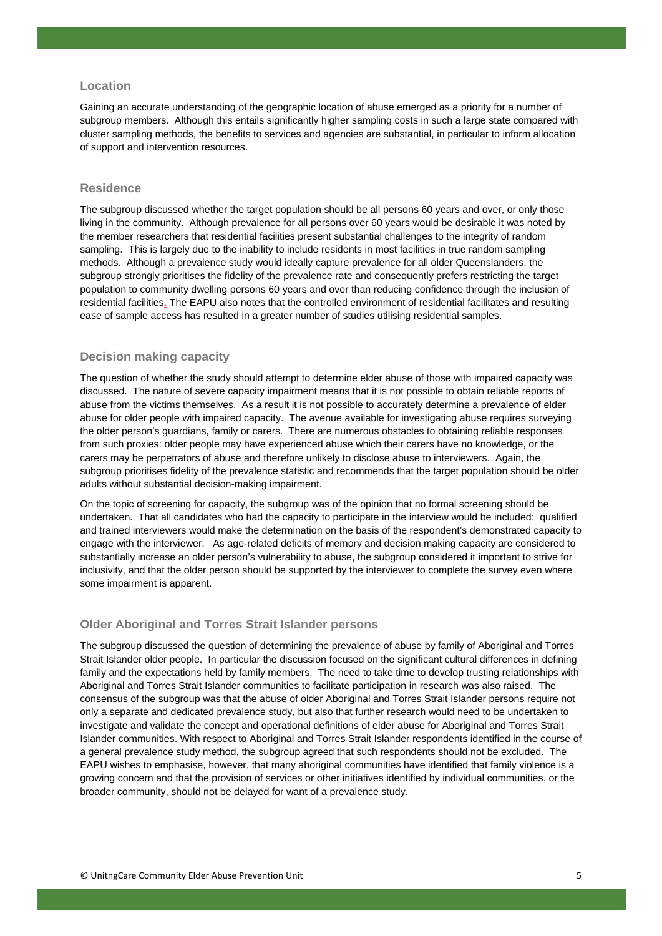#### **Location**

Gaining an accurate understanding of the geographic location of abuse emerged as a priority for a number of subgroup members. Although this entails significantly higher sampling costs in such a large state compared with cluster sampling methods, the benefits to services and agencies are substantial, in particular to inform allocation of support and intervention resources.

### **Residence**

The subgroup discussed whether the target population should be all persons 60 years and over, or only those living in the community. Although prevalence for all persons over 60 years would be desirable it was noted by the member researchers that residential facilities present substantial challenges to the integrity of random sampling. This is largely due to the inability to include residents in most facilities in true random sampling methods. Although a prevalence study would ideally capture prevalence for all older Queenslanders, the subgroup strongly prioritises the fidelity of the prevalence rate and consequently prefers restricting the target population to community dwelling persons 60 years and over than reducing confidence through the inclusion of residential facilities**.** The EAPU also notes that the controlled environment of residential facilitates and resulting ease of sample access has resulted in a greater number of studies utilising residential samples.

#### **Decision making capacity**

The question of whether the study should attempt to determine elder abuse of those with impaired capacity was discussed. The nature of severe capacity impairment means that it is not possible to obtain reliable reports of abuse from the victims themselves. As a result it is not possible to accurately determine a prevalence of elder abuse for older people with impaired capacity. The avenue available for investigating abuse requires surveying the older person's guardians, family or carers. There are numerous obstacles to obtaining reliable responses from such proxies: older people may have experienced abuse which their carers have no knowledge, or the carers may be perpetrators of abuse and therefore unlikely to disclose abuse to interviewers. Again, the subgroup prioritises fidelity of the prevalence statistic and recommends that the target population should be older adults without substantial decision-making impairment.

On the topic of screening for capacity, the subgroup was of the opinion that no formal screening should be undertaken. That all candidates who had the capacity to participate in the interview would be included: qualified and trained interviewers would make the determination on the basis of the respondent's demonstrated capacity to engage with the interviewer. As age-related deficits of memory and decision making capacity are considered to substantially increase an older person's vulnerability to abuse, the subgroup considered it important to strive for inclusivity, and that the older person should be supported by the interviewer to complete the survey even where some impairment is apparent.

#### **Older Aboriginal and Torres Strait Islander persons**

The subgroup discussed the question of determining the prevalence of abuse by family of Aboriginal and Torres Strait Islander older people. In particular the discussion focused on the significant cultural differences in defining family and the expectations held by family members. The need to take time to develop trusting relationships with Aboriginal and Torres Strait Islander communities to facilitate participation in research was also raised. The consensus of the subgroup was that the abuse of older Aboriginal and Torres Strait Islander persons require not only a separate and dedicated prevalence study, but also that further research would need to be undertaken to investigate and validate the concept and operational definitions of elder abuse for Aboriginal and Torres Strait Islander communities. With respect to Aboriginal and Torres Strait Islander respondents identified in the course of a general prevalence study method, the subgroup agreed that such respondents should not be excluded. The EAPU wishes to emphasise, however, that many aboriginal communities have identified that family violence is a growing concern and that the provision of services or other initiatives identified by individual communities, or the broader community, should not be delayed for want of a prevalence study.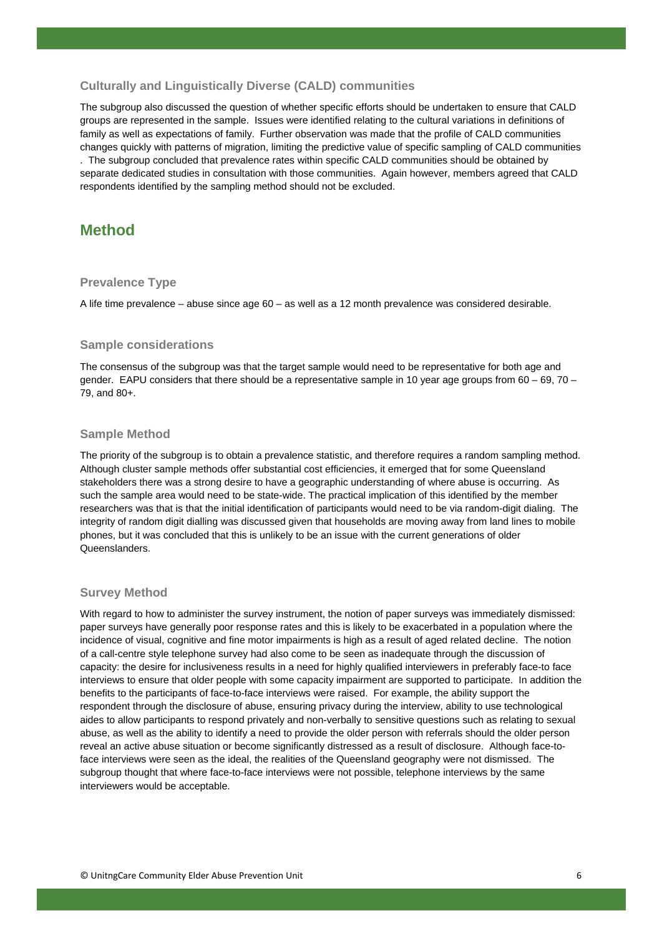### **Culturally and Linguistically Diverse (CALD) communities**

The subgroup also discussed the question of whether specific efforts should be undertaken to ensure that CALD groups are represented in the sample. Issues were identified relating to the cultural variations in definitions of family as well as expectations of family. Further observation was made that the profile of CALD communities changes quickly with patterns of migration, limiting the predictive value of specific sampling of CALD communities

. The subgroup concluded that prevalence rates within specific CALD communities should be obtained by separate dedicated studies in consultation with those communities. Again however, members agreed that CALD respondents identified by the sampling method should not be excluded.

## **Method**

#### **Prevalence Type**

A life time prevalence – abuse since age 60 – as well as a 12 month prevalence was considered desirable.

#### **Sample considerations**

The consensus of the subgroup was that the target sample would need to be representative for both age and gender. EAPU considers that there should be a representative sample in 10 year age groups from 60 – 69, 70 – 79, and 80+.

#### **Sample Method**

The priority of the subgroup is to obtain a prevalence statistic, and therefore requires a random sampling method. Although cluster sample methods offer substantial cost efficiencies, it emerged that for some Queensland stakeholders there was a strong desire to have a geographic understanding of where abuse is occurring. As such the sample area would need to be state-wide. The practical implication of this identified by the member researchers was that is that the initial identification of participants would need to be via random-digit dialing. The integrity of random digit dialling was discussed given that households are moving away from land lines to mobile phones, but it was concluded that this is unlikely to be an issue with the current generations of older Queenslanders.

#### **Survey Method**

With regard to how to administer the survey instrument, the notion of paper surveys was immediately dismissed: paper surveys have generally poor response rates and this is likely to be exacerbated in a population where the incidence of visual, cognitive and fine motor impairments is high as a result of aged related decline. The notion of a call-centre style telephone survey had also come to be seen as inadequate through the discussion of capacity: the desire for inclusiveness results in a need for highly qualified interviewers in preferably face-to face interviews to ensure that older people with some capacity impairment are supported to participate. In addition the benefits to the participants of face-to-face interviews were raised. For example, the ability support the respondent through the disclosure of abuse, ensuring privacy during the interview, ability to use technological aides to allow participants to respond privately and non-verbally to sensitive questions such as relating to sexual abuse, as well as the ability to identify a need to provide the older person with referrals should the older person reveal an active abuse situation or become significantly distressed as a result of disclosure. Although face-toface interviews were seen as the ideal, the realities of the Queensland geography were not dismissed. The subgroup thought that where face-to-face interviews were not possible, telephone interviews by the same interviewers would be acceptable.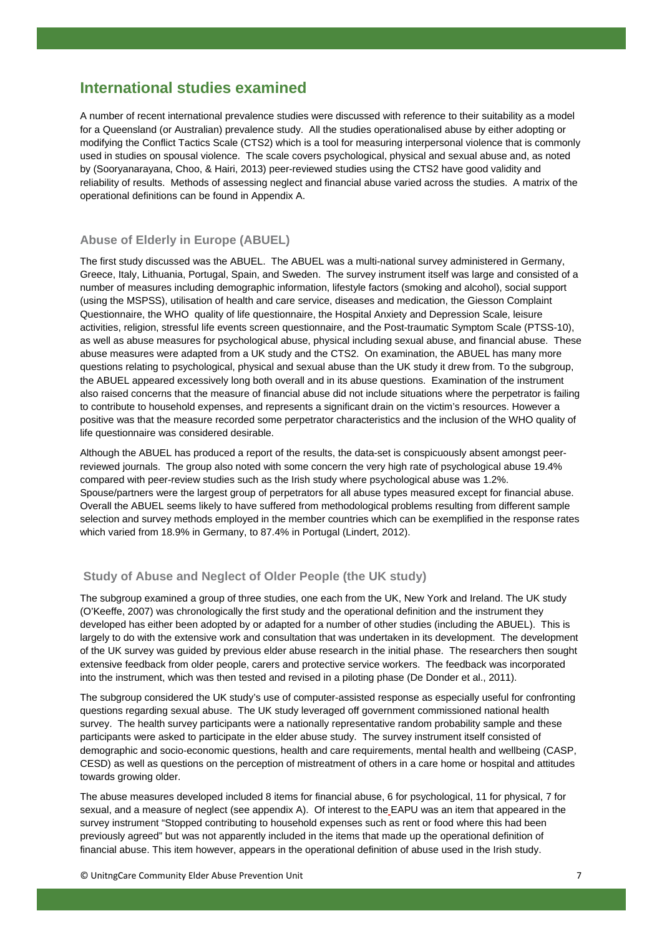# **International studies examined**

A number of recent international prevalence studies were discussed with reference to their suitability as a model for a Queensland (or Australian) prevalence study. All the studies operationalised abuse by either adopting or modifying the Conflict Tactics Scale (CTS2) which is a tool for measuring interpersonal violence that is commonly used in studies on spousal violence. The scale covers psychological, physical and sexual abuse and, as noted by (Sooryanarayana, Choo, & Hairi, 2013) peer-reviewed studies using the CTS2 have good validity and reliability of results. Methods of assessing neglect and financial abuse varied across the studies. A matrix of the operational definitions can be found in Appendix A.

#### **Abuse of Elderly in Europe (ABUEL)**

The first study discussed was the ABUEL. The ABUEL was a multi-national survey administered in Germany, Greece, Italy, Lithuania, Portugal, Spain, and Sweden. The survey instrument itself was large and consisted of a number of measures including demographic information, lifestyle factors (smoking and alcohol), social support (using the MSPSS), utilisation of health and care service, diseases and medication, the Giesson Complaint Questionnaire, the WHO quality of life questionnaire, the Hospital Anxiety and Depression Scale, leisure activities, religion, stressful life events screen questionnaire, and the Post-traumatic Symptom Scale (PTSS-10), as well as abuse measures for psychological abuse, physical including sexual abuse, and financial abuse. These abuse measures were adapted from a UK study and the CTS2. On examination, the ABUEL has many more questions relating to psychological, physical and sexual abuse than the UK study it drew from. To the subgroup, the ABUEL appeared excessively long both overall and in its abuse questions. Examination of the instrument also raised concerns that the measure of financial abuse did not include situations where the perpetrator is failing to contribute to household expenses, and represents a significant drain on the victim's resources. However a positive was that the measure recorded some perpetrator characteristics and the inclusion of the WHO quality of life questionnaire was considered desirable.

Although the ABUEL has produced a report of the results, the data-set is conspicuously absent amongst peerreviewed journals. The group also noted with some concern the very high rate of psychological abuse 19.4% compared with peer-review studies such as the Irish study where psychological abuse was 1.2%. Spouse/partners were the largest group of perpetrators for all abuse types measured except for financial abuse. Overall the ABUEL seems likely to have suffered from methodological problems resulting from different sample selection and survey methods employed in the member countries which can be exemplified in the response rates which varied from 18.9% in Germany, to 87.4% in Portugal (Lindert, 2012).

#### **Study of Abuse and Neglect of Older People (the UK study)**

The subgroup examined a group of three studies, one each from the UK, New York and Ireland. The UK study (O'Keeffe, 2007) was chronologically the first study and the operational definition and the instrument they developed has either been adopted by or adapted for a number of other studies (including the ABUEL). This is largely to do with the extensive work and consultation that was undertaken in its development. The development of the UK survey was guided by previous elder abuse research in the initial phase. The researchers then sought extensive feedback from older people, carers and protective service workers. The feedback was incorporated into the instrument, which was then tested and revised in a piloting phase (De Donder et al., 2011).

The subgroup considered the UK study's use of computer-assisted response as especially useful for confronting questions regarding sexual abuse. The UK study leveraged off government commissioned national health survey. The health survey participants were a nationally representative random probability sample and these participants were asked to participate in the elder abuse study. The survey instrument itself consisted of demographic and socio-economic questions, health and care requirements, mental health and wellbeing (CASP, CESD) as well as questions on the perception of mistreatment of others in a care home or hospital and attitudes towards growing older.

The abuse measures developed included 8 items for financial abuse, 6 for psychological, 11 for physical, 7 for sexual, and a measure of neglect (see appendix A). Of interest to the EAPU was an item that appeared in the survey instrument "Stopped contributing to household expenses such as rent or food where this had been previously agreed" but was not apparently included in the items that made up the operational definition of financial abuse. This item however, appears in the operational definition of abuse used in the Irish study.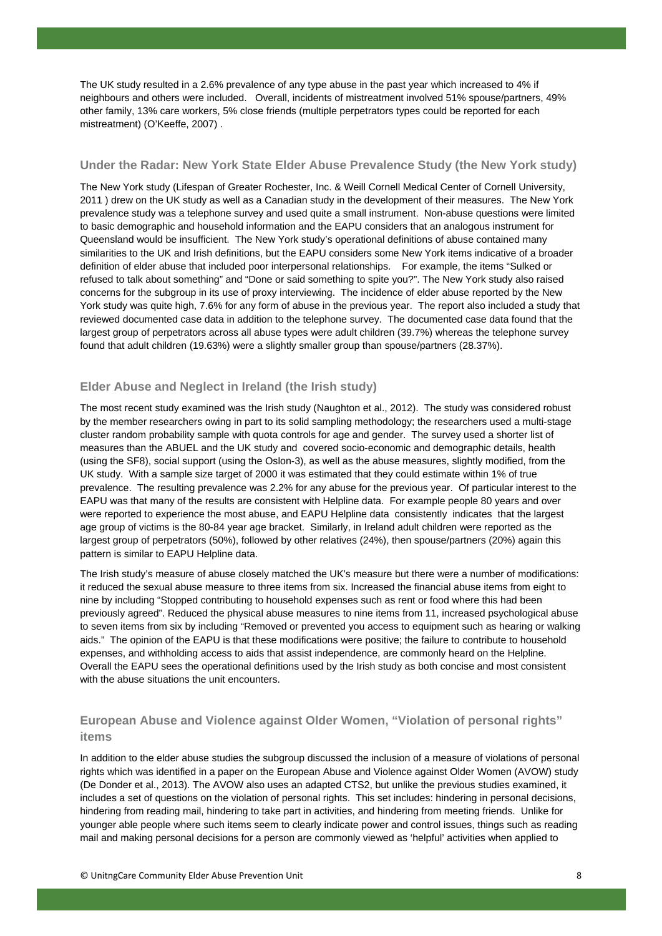The UK study resulted in a 2.6% prevalence of any type abuse in the past year which increased to 4% if neighbours and others were included. Overall, incidents of mistreatment involved 51% spouse/partners, 49% other family, 13% care workers, 5% close friends (multiple perpetrators types could be reported for each mistreatment) (O'Keeffe, 2007) .

### **Under the Radar: New York State Elder Abuse Prevalence Study (the New York study)**

The New York study (Lifespan of Greater Rochester, Inc. & Weill Cornell Medical Center of Cornell University, 2011 ) drew on the UK study as well as a Canadian study in the development of their measures. The New York prevalence study was a telephone survey and used quite a small instrument. Non-abuse questions were limited to basic demographic and household information and the EAPU considers that an analogous instrument for Queensland would be insufficient. The New York study's operational definitions of abuse contained many similarities to the UK and Irish definitions, but the EAPU considers some New York items indicative of a broader definition of elder abuse that included poor interpersonal relationships. For example, the items "Sulked or refused to talk about something" and "Done or said something to spite you?". The New York study also raised concerns for the subgroup in its use of proxy interviewing. The incidence of elder abuse reported by the New York study was quite high, 7.6% for any form of abuse in the previous year. The report also included a study that reviewed documented case data in addition to the telephone survey. The documented case data found that the largest group of perpetrators across all abuse types were adult children (39.7%) whereas the telephone survey found that adult children (19.63%) were a slightly smaller group than spouse/partners (28.37%).

### **Elder Abuse and Neglect in Ireland (the Irish study)**

The most recent study examined was the Irish study (Naughton et al., 2012). The study was considered robust by the member researchers owing in part to its solid sampling methodology; the researchers used a multi-stage cluster random probability sample with quota controls for age and gender. The survey used a shorter list of measures than the ABUEL and the UK study and covered socio-economic and demographic details, health (using the SF8), social support (using the Oslon-3), as well as the abuse measures, slightly modified, from the UK study. With a sample size target of 2000 it was estimated that they could estimate within 1% of true prevalence. The resulting prevalence was 2.2% for any abuse for the previous year. Of particular interest to the EAPU was that many of the results are consistent with Helpline data. For example people 80 years and over were reported to experience the most abuse, and EAPU Helpline data consistently indicates that the largest age group of victims is the 80-84 year age bracket. Similarly, in Ireland adult children were reported as the largest group of perpetrators (50%), followed by other relatives (24%), then spouse/partners (20%) again this pattern is similar to EAPU Helpline data.

The Irish study's measure of abuse closely matched the UK's measure but there were a number of modifications: it reduced the sexual abuse measure to three items from six. Increased the financial abuse items from eight to nine by including "Stopped contributing to household expenses such as rent or food where this had been previously agreed". Reduced the physical abuse measures to nine items from 11, increased psychological abuse to seven items from six by including "Removed or prevented you access to equipment such as hearing or walking aids." The opinion of the EAPU is that these modifications were positive; the failure to contribute to household expenses, and withholding access to aids that assist independence, are commonly heard on the Helpline. Overall the EAPU sees the operational definitions used by the Irish study as both concise and most consistent with the abuse situations the unit encounters.

### **European Abuse and Violence against Older Women, "Violation of personal rights" items**

In addition to the elder abuse studies the subgroup discussed the inclusion of a measure of violations of personal rights which was identified in a paper on the European Abuse and Violence against Older Women (AVOW) study (De Donder et al., 2013). The AVOW also uses an adapted CTS2, but unlike the previous studies examined, it includes a set of questions on the violation of personal rights. This set includes: hindering in personal decisions, hindering from reading mail, hindering to take part in activities, and hindering from meeting friends. Unlike for younger able people where such items seem to clearly indicate power and control issues, things such as reading mail and making personal decisions for a person are commonly viewed as 'helpful' activities when applied to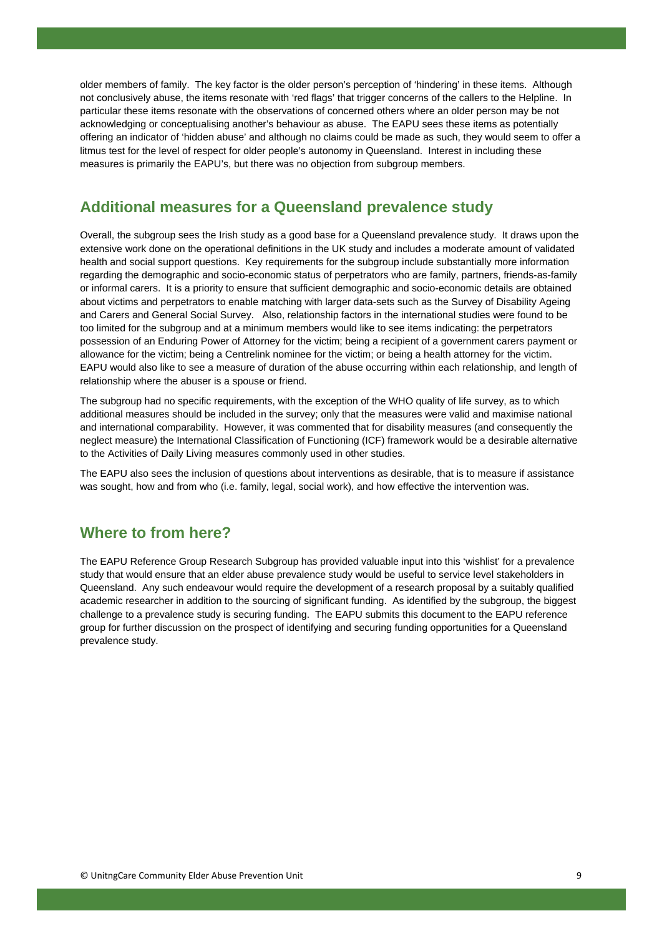older members of family. The key factor is the older person's perception of 'hindering' in these items. Although not conclusively abuse, the items resonate with 'red flags' that trigger concerns of the callers to the Helpline. In particular these items resonate with the observations of concerned others where an older person may be not acknowledging or conceptualising another's behaviour as abuse. The EAPU sees these items as potentially offering an indicator of 'hidden abuse' and although no claims could be made as such, they would seem to offer a litmus test for the level of respect for older people's autonomy in Queensland. Interest in including these measures is primarily the EAPU's, but there was no objection from subgroup members.

## **Additional measures for a Queensland prevalence study**

Overall, the subgroup sees the Irish study as a good base for a Queensland prevalence study. It draws upon the extensive work done on the operational definitions in the UK study and includes a moderate amount of validated health and social support questions. Key requirements for the subgroup include substantially more information regarding the demographic and socio-economic status of perpetrators who are family, partners, friends-as-family or informal carers. It is a priority to ensure that sufficient demographic and socio-economic details are obtained about victims and perpetrators to enable matching with larger data-sets such as the Survey of Disability Ageing and Carers and General Social Survey. Also, relationship factors in the international studies were found to be too limited for the subgroup and at a minimum members would like to see items indicating: the perpetrators possession of an Enduring Power of Attorney for the victim; being a recipient of a government carers payment or allowance for the victim; being a Centrelink nominee for the victim; or being a health attorney for the victim. EAPU would also like to see a measure of duration of the abuse occurring within each relationship, and length of relationship where the abuser is a spouse or friend.

The subgroup had no specific requirements, with the exception of the WHO quality of life survey, as to which additional measures should be included in the survey; only that the measures were valid and maximise national and international comparability. However, it was commented that for disability measures (and consequently the neglect measure) the International Classification of Functioning (ICF) framework would be a desirable alternative to the Activities of Daily Living measures commonly used in other studies.

The EAPU also sees the inclusion of questions about interventions as desirable, that is to measure if assistance was sought, how and from who (i.e. family, legal, social work), and how effective the intervention was.

### **Where to from here?**

The EAPU Reference Group Research Subgroup has provided valuable input into this 'wishlist' for a prevalence study that would ensure that an elder abuse prevalence study would be useful to service level stakeholders in Queensland. Any such endeavour would require the development of a research proposal by a suitably qualified academic researcher in addition to the sourcing of significant funding. As identified by the subgroup, the biggest challenge to a prevalence study is securing funding. The EAPU submits this document to the EAPU reference group for further discussion on the prospect of identifying and securing funding opportunities for a Queensland prevalence study.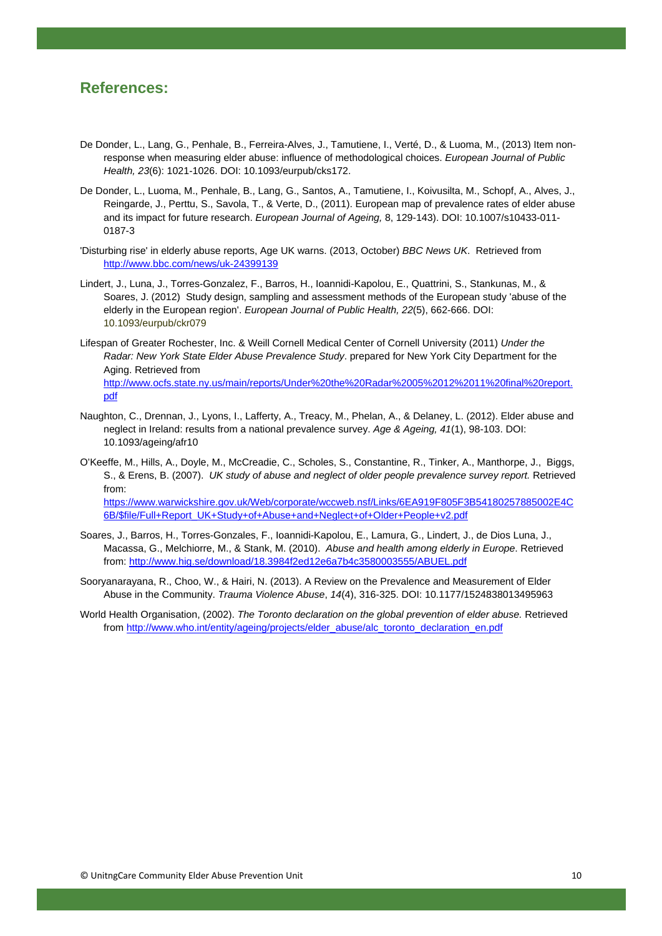### **References:**

- De Donder, L., Lang, G., Penhale, B., Ferreira-Alves, J., Tamutiene, I., Verté, D., & Luoma, M., (2013) Item nonresponse when measuring elder abuse: influence of methodological choices. *European Journal of Public Health, 23*(6): 1021-1026. DOI: 10.1093/eurpub/cks172.
- De Donder, L., Luoma, M., Penhale, B., Lang, G., Santos, A., Tamutiene, I., Koivusilta, M., Schopf, A., Alves, J., Reingarde, J., Perttu, S., Savola, T., & Verte, D., (2011). European map of prevalence rates of elder abuse and its impact for future research. *European Journal of Ageing,* 8, 129-143). DOI: 10.1007/s10433-011- 0187-3
- 'Disturbing rise' in elderly abuse reports, Age UK warns. (2013, October) *BBC News UK*. Retrieved from http://www.bbc.com/news/uk-24399139
- Lindert, J., Luna, J., Torres-Gonzalez, F., Barros, H., Ioannidi-Kapolou, E., Quattrini, S., Stankunas, M., & Soares, J. (2012) Study design, sampling and assessment methods of the European study 'abuse of the elderly in the European region'. *European Journal of Public Health, 22*(5), 662-666. DOI: 10.1093/eurpub/ckr079
- Lifespan of Greater Rochester, Inc. & Weill Cornell Medical Center of Cornell University (2011) *Under the Radar: New York State Elder Abuse Prevalence Study*. prepared for New York City Department for the Aging. Retrieved from http://www.ocfs.state.ny.us/main/reports/Under%20the%20Radar%2005%2012%2011%20final%20report. pdf
- Naughton, C., Drennan, J., Lyons, I., Lafferty, A., Treacy, M., Phelan, A., & Delaney, L. (2012). Elder abuse and neglect in Ireland: results from a national prevalence survey. *Age & Ageing, 41*(1), 98-103. DOI: 10.1093/ageing/afr10
- O'Keeffe, M., Hills, A., Doyle, M., McCreadie, C., Scholes, S., Constantine, R., Tinker, A., Manthorpe, J., Biggs, S., & Erens, B. (2007). *UK study of abuse and neglect of older people prevalence survey report.* Retrieved from: https://www.warwickshire.gov.uk/Web/corporate/wccweb.nsf/Links/6EA919F805F3B54180257885002E4C 6B/\$file/Full+Report\_UK+Study+of+Abuse+and+Neglect+of+Older+People+v2.pdf
- Soares, J., Barros, H., Torres-Gonzales, F., Ioannidi-Kapolou, E., Lamura, G., Lindert, J., de Dios Luna, J., Macassa, G., Melchiorre, M., & Stank, M. (2010). *Abuse and health among elderly in Europe*. Retrieved from: http://www.hig.se/download/18.3984f2ed12e6a7b4c3580003555/ABUEL.pdf
- Sooryanarayana, R., Choo, W., & Hairi, N. (2013). A Review on the Prevalence and Measurement of Elder Abuse in the Community. *Trauma Violence Abuse*, *14*(4), 316-325. DOI: 10.1177/1524838013495963
- World Health Organisation, (2002). *The Toronto declaration on the global prevention of elder abuse.* Retrieved from http://www.who.int/entity/ageing/projects/elder\_abuse/alc\_toronto\_declaration\_en.pdf